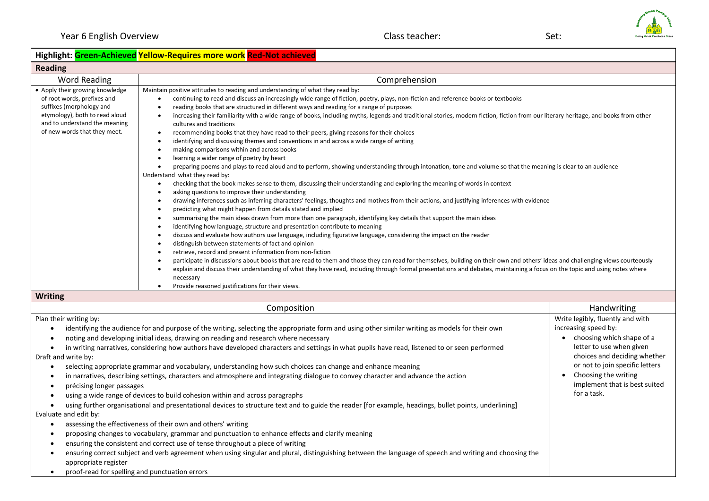Composition **Handwriting** Composition **Handwriting Handwriting Handwriting** 

Write legibly, fluently and with

• Choosing the writing

for a task.

• choosing which shape of a letter to use when given choices and deciding whether or not to join specific letters

implement that is best suited

## **Highlight: Green-Achieved Yellow-Requires more work Red-Not achieved**

| <b>Reading</b>                                                                                                                                                                                |                                                                                                                                                                                                                                                                                                                                                                                                                                                                                                                                                                                                                                                                                                                                                                                                                                                                                                                                                                                                                                                                                                                                                                                                                                                                                                                                                                                                                                                                                                                                                                                                                                                                                                                                                                                                                                                                                                                                                                                                                                                                                                                                                                                                                                                                                                 |  |
|-----------------------------------------------------------------------------------------------------------------------------------------------------------------------------------------------|-------------------------------------------------------------------------------------------------------------------------------------------------------------------------------------------------------------------------------------------------------------------------------------------------------------------------------------------------------------------------------------------------------------------------------------------------------------------------------------------------------------------------------------------------------------------------------------------------------------------------------------------------------------------------------------------------------------------------------------------------------------------------------------------------------------------------------------------------------------------------------------------------------------------------------------------------------------------------------------------------------------------------------------------------------------------------------------------------------------------------------------------------------------------------------------------------------------------------------------------------------------------------------------------------------------------------------------------------------------------------------------------------------------------------------------------------------------------------------------------------------------------------------------------------------------------------------------------------------------------------------------------------------------------------------------------------------------------------------------------------------------------------------------------------------------------------------------------------------------------------------------------------------------------------------------------------------------------------------------------------------------------------------------------------------------------------------------------------------------------------------------------------------------------------------------------------------------------------------------------------------------------------------------------------|--|
| Word Reading                                                                                                                                                                                  | Comprehension                                                                                                                                                                                                                                                                                                                                                                                                                                                                                                                                                                                                                                                                                                                                                                                                                                                                                                                                                                                                                                                                                                                                                                                                                                                                                                                                                                                                                                                                                                                                                                                                                                                                                                                                                                                                                                                                                                                                                                                                                                                                                                                                                                                                                                                                                   |  |
| • Apply their growing knowledge<br>of root words, prefixes and<br>suffixes (morphology and<br>etymology), both to read aloud<br>and to understand the meaning<br>of new words that they meet. | Maintain positive attitudes to reading and understanding of what they read by:<br>continuing to read and discuss an increasingly wide range of fiction, poetry, plays, non-fiction and reference books or textbooks<br>reading books that are structured in different ways and reading for a range of purposes<br>increasing their familiarity with a wide range of books, including myths, legends and traditional stories, modern fiction, fiction from our literary heritage, and books from other<br>cultures and traditions<br>recommending books that they have read to their peers, giving reasons for their choices<br>identifying and discussing themes and conventions in and across a wide range of writing<br>making comparisons within and across books<br>learning a wider range of poetry by heart<br>preparing poems and plays to read aloud and to perform, showing understanding through intonation, tone and volume so that the meaning is clear to an audience<br>Understand what they read by:<br>checking that the book makes sense to them, discussing their understanding and exploring the meaning of words in context<br>asking questions to improve their understanding<br>drawing inferences such as inferring characters' feelings, thoughts and motives from their actions, and justifying inferences with evidence<br>predicting what might happen from details stated and implied<br>summarising the main ideas drawn from more than one paragraph, identifying key details that support the main ideas<br>identifying how language, structure and presentation contribute to meaning<br>discuss and evaluate how authors use language, including figurative language, considering the impact on the reader<br>distinguish between statements of fact and opinion<br>retrieve, record and present information from non-fiction<br>participate in discussions about books that are read to them and those they can read for themselves, building on their own and others' ideas and challenging views courteously<br>explain and discuss their understanding of what they have read, including through formal presentations and debates, maintaining a focus on the topic and using notes where<br>necessary<br>Provide reasoned justifications for their views. |  |
| <b>Writing</b>                                                                                                                                                                                |                                                                                                                                                                                                                                                                                                                                                                                                                                                                                                                                                                                                                                                                                                                                                                                                                                                                                                                                                                                                                                                                                                                                                                                                                                                                                                                                                                                                                                                                                                                                                                                                                                                                                                                                                                                                                                                                                                                                                                                                                                                                                                                                                                                                                                                                                                 |  |

Plan their writing by:

• identifying the audience for and purpose of the writing, selecting the appropriate form and using other similar writing as models for their own increasing speed by:

• noting and developing initial ideas, drawing on reading and research where necessary

• in writing narratives, considering how authors have developed characters and settings in what pupils have read, listened to or seen performed Draft and write by:

- selecting appropriate grammar and vocabulary, understanding how such choices can change and enhance meaning
- in narratives, describing settings, characters and atmosphere and integrating dialogue to convey character and advance the action
- précising longer passages
- using a wide range of devices to build cohesion within and across paragraphs

• using further organisational and presentational devices to structure text and to guide the reader [for example, headings, bullet points, underlining]

Evaluate and edit by:

- assessing the effectiveness of their own and others' writing
- proposing changes to vocabulary, grammar and punctuation to enhance effects and clarify meaning
- ensuring the consistent and correct use of tense throughout a piece of writing
- ensuring correct subject and verb agreement when using singular and plural, distinguishing between the language of speech and writing and choosing the appropriate register
- proof-read for spelling and punctuation errors